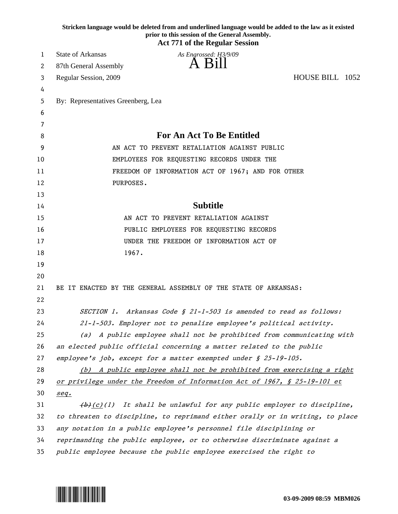|    | Stricken language would be deleted from and underlined language would be added to the law as it existed<br>prior to this session of the General Assembly.<br><b>Act 771 of the Regular Session</b> |
|----|----------------------------------------------------------------------------------------------------------------------------------------------------------------------------------------------------|
| 1  | <b>State of Arkansas</b><br>As Engrossed: H3/9/09                                                                                                                                                  |
| 2  | -Bill<br>87th General Assembly                                                                                                                                                                     |
| 3  | HOUSE BILL 1052<br>Regular Session, 2009                                                                                                                                                           |
| 4  |                                                                                                                                                                                                    |
| 5  | By: Representatives Greenberg, Lea                                                                                                                                                                 |
| 6  |                                                                                                                                                                                                    |
| 7  |                                                                                                                                                                                                    |
| 8  | <b>For An Act To Be Entitled</b>                                                                                                                                                                   |
| 9  | AN ACT TO PREVENT RETALIATION AGAINST PUBLIC                                                                                                                                                       |
| 10 | EMPLOYEES FOR REQUESTING RECORDS UNDER THE                                                                                                                                                         |
| 11 | FREEDOM OF INFORMATION ACT OF 1967; AND FOR OTHER                                                                                                                                                  |
| 12 | PURPOSES.                                                                                                                                                                                          |
| 13 |                                                                                                                                                                                                    |
| 14 | <b>Subtitle</b>                                                                                                                                                                                    |
| 15 | AN ACT TO PREVENT RETALIATION AGAINST                                                                                                                                                              |
| 16 | PUBLIC EMPLOYEES FOR REQUESTING RECORDS                                                                                                                                                            |
| 17 | UNDER THE FREEDOM OF INFORMATION ACT OF                                                                                                                                                            |
| 18 | 1967.                                                                                                                                                                                              |
| 19 |                                                                                                                                                                                                    |
| 20 |                                                                                                                                                                                                    |
| 21 | BE IT ENACTED BY THE GENERAL ASSEMBLY OF THE STATE OF ARKANSAS:                                                                                                                                    |
| 22 |                                                                                                                                                                                                    |
| 23 | SECTION 1. Arkansas Code § 21-1-503 is amended to read as follows:                                                                                                                                 |
| 24 | 21-1-503. Employer not to penalize employee's political activity.                                                                                                                                  |
| 25 | (a) A public employee shall not be prohibited from communicating with                                                                                                                              |
| 26 | an elected public official concerning a matter related to the public                                                                                                                               |
| 27 | employee's job, except for a matter exempted under $\oint$ 25-19-105.                                                                                                                              |
| 28 | (b) A public employee shall not be prohibited from exercising a right                                                                                                                              |
| 29 | <u>or privilege under the Freedom of Information Act of 1967, § 25-19-101 et</u>                                                                                                                   |
| 30 | seq.                                                                                                                                                                                               |
| 31 | $\left(\frac{b}{c}\right)(1)$ It shall be unlawful for any public employer to discipline,                                                                                                          |
| 32 | to threaten to discipline, to reprimand either orally or in writing, to place                                                                                                                      |
| 33 | any notation in a public employee's personnel file disciplining or                                                                                                                                 |
| 34 | reprimanding the public employee, or to otherwise discriminate against a                                                                                                                           |
| 35 | public employee because the public employee exercised the right to                                                                                                                                 |